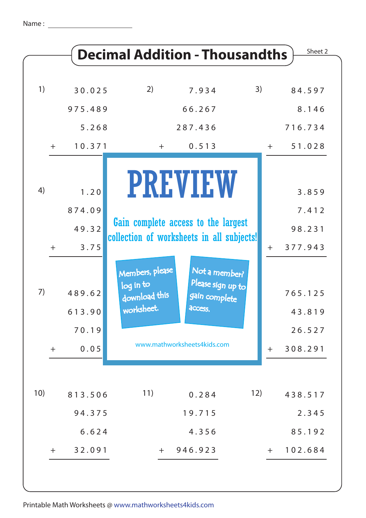|     |     |                           |                                                                                  | <b>Decimal Addition - Thousandths</b>                                                         |     |       | Sheet 2                     |
|-----|-----|---------------------------|----------------------------------------------------------------------------------|-----------------------------------------------------------------------------------------------|-----|-------|-----------------------------|
| 1)  |     | 30.025                    | 2)                                                                               | 7.934                                                                                         | 3)  |       | 84.597                      |
|     |     | 975.489                   |                                                                                  | 66.267                                                                                        |     |       | 8.146                       |
|     |     | 5.268                     |                                                                                  | 287.436                                                                                       |     |       | 716.734                     |
|     | $+$ | 10.371                    | $+$                                                                              | 0.513                                                                                         |     | $\pm$ | 51.028                      |
| 4)  |     | 1.20                      |                                                                                  | <b>PREVIEW</b>                                                                                |     |       | 3.859                       |
|     |     | 874.09                    |                                                                                  |                                                                                               |     |       | 7.412                       |
|     |     | 49.32                     | Gain complete access to the largest<br>collection of worksheets in all subjects! |                                                                                               |     |       | 98.231                      |
|     | $+$ | 3.75                      |                                                                                  |                                                                                               |     | $+$   | 377.943                     |
| 7)  |     | 489.62<br>613.90<br>70.19 | Members, please<br>log in to<br>download this<br>worksheet.                      | Not a member?<br>Please sign up to<br>gain complete<br>access.<br>www.mathworksheets4kids.com |     |       | 765.125<br>43.819<br>26.527 |
|     | $+$ | 0.05                      |                                                                                  |                                                                                               |     | $\pm$ | 308.291                     |
| 10) |     | 813.506                   | 11)                                                                              | 0.284                                                                                         | 12) |       | 438.517                     |
|     |     | 94.375                    |                                                                                  | 19.715                                                                                        |     |       | 2.345                       |
|     |     | 6.624                     |                                                                                  | 4.356                                                                                         |     |       | 85.192                      |
|     | $+$ | 32.091                    | $+$                                                                              | 946.923                                                                                       |     | $+$   | 102.684                     |